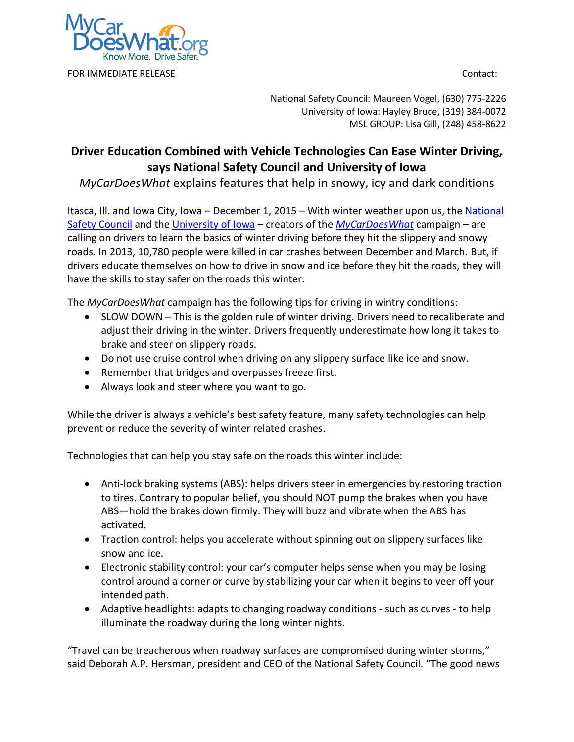

National Safety Council: Maureen Vogel, (630) 775-2226 University of Iowa: Hayley Bruce, (319) 384-0072 MSL GROUP: Lisa Gill, (248) 458-8622

## **Driver Education Combined with Vehicle Technologies Can Ease Winter Driving, says National Safety Council and University of Iowa**

*MyCarDoesWhat* explains features that help in snowy, icy and dark conditions

Itasca, Ill. and Iowa City, Iowa - December 1, 2015 - With winter weather upon us, the National [Safety Council](http://www.nsc.org/) and the [University of Iowa](http://ppc.uiowa.edu/tvs) – creators of the *[MyCarDoesWhat](http://www.mycardoeswhat.org/)* campaign – are calling on drivers to learn the basics of winter driving before they hit the slippery and snowy roads. In 2013, 10,780 people were killed in car crashes between December and March. But, if drivers educate themselves on how to drive in snow and ice before they hit the roads, they will have the skills to stay safer on the roads this winter.

The *MyCarDoesWhat* campaign has the following tips for driving in wintry conditions:

- SLOW DOWN This is the golden rule of winter driving. Drivers need to recaliberate and adjust their driving in the winter. Drivers frequently underestimate how long it takes to brake and steer on slippery roads.
- Do not use cruise control when driving on any slippery surface like ice and snow.
- Remember that bridges and overpasses freeze first.
- Always look and steer where you want to go.

While the driver is always a vehicle's best safety feature, many safety technologies can help prevent or reduce the severity of winter related crashes.

Technologies that can help you stay safe on the roads this winter include:

- Anti-lock braking systems (ABS): helps drivers steer in emergencies by restoring traction to tires. Contrary to popular belief, you should NOT pump the brakes when you have ABS—hold the brakes down firmly. They will buzz and vibrate when the ABS has activated.
- Traction control: helps you accelerate without spinning out on slippery surfaces like snow and ice.
- Electronic stability control: your car's computer helps sense when you may be losing control around a corner or curve by stabilizing your car when it begins to veer off your intended path.
- Adaptive headlights: adapts to changing roadway conditions such as curves to help illuminate the roadway during the long winter nights.

"Travel can be treacherous when roadway surfaces are compromised during winter storms," said Deborah A.P. Hersman, president and CEO of the National Safety Council. "The good news